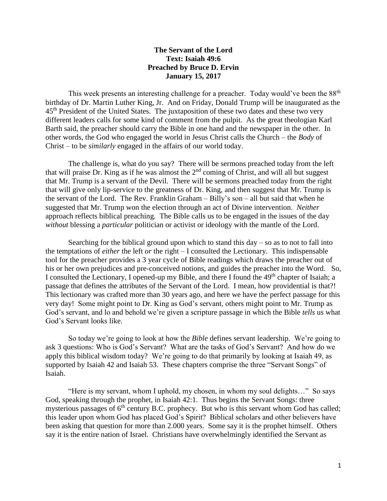## **The Servant of the Lord Text: Isaiah 49:6 Preached by Bruce D. Ervin January 15, 2017**

This week presents an interesting challenge for a preacher. Today would've been the 88<sup>th</sup> birthday of Dr. Martin Luther King, Jr. And on Friday, Donald Trump will be inaugurated as the 45<sup>th</sup> President of the United States. The juxtaposition of these two dates and these two very different leaders calls for some kind of comment from the pulpit. As the great theologian Karl Barth said, the preacher should carry the Bible in one hand and the newspaper in the other. In other words, the God who engaged the world in Jesus Christ calls the Church – the *Body* of Christ – to be *similarly* engaged in the affairs of our world today.

The challenge is, what do you say? There will be sermons preached today from the left that will praise Dr. King as if he was almost the  $2<sup>nd</sup>$  coming of Christ, and will all but suggest that Mr. Trump is a servant of the Devil. There will be sermons preached today from the right that will give only lip-service to the greatness of Dr. King, and then suggest that Mr. Trump is the servant of the Lord. The Rev. Franklin Graham – Billy's son – all but said that when he suggested that Mr. Trump won the election through an act of Divine intervention. *Neither*  approach reflects biblical preaching. The Bible calls us to be engaged in the issues of the day *without* blessing a *particular* politician or activist or ideology with the mantle of the Lord.

Searching for the biblical ground upon which to stand this  $day - so$  as to not to fall into the temptations of *either* the left *or* the right – I consulted the Lectionary. This indispensable tool for the preacher provides a 3 year cycle of Bible readings which draws the preacher out of his or her own prejudices and pre-conceived notions, and guides the preacher into the Word. So, I consulted the Lectionary, I opened-up my Bible, and there I found the 49<sup>th</sup> chapter of Isaiah; a passage that defines the attributes of the Servant of the Lord. I mean, how providential is that?! This lectionary was crafted more than 30 years ago, and here we have the perfect passage for this very day! Some might point to Dr. King as God's servant, others might point to Mr. Trump as God's servant, and lo and behold we're given a scripture passage in which the Bible *tells* us what God's Servant looks like.

So today we're going to look at how the *Bible* defines servant leadership. We're going to ask 3 questions: Who is God's Servant? What are the tasks of God's Servant? And how do we apply this biblical wisdom today? We're going to do that primarily by looking at Isaiah 49, as supported by Isaiah 42 and Isaiah 53. These chapters comprise the three "Servant Songs" of Isaiah.

"Here is my servant, whom I uphold, my chosen, in whom my soul delights…" So says God, speaking through the prophet, in Isaiah 42:1. Thus begins the Servant Songs: three mysterious passages of 6<sup>th</sup> century B.C. prophecy. But who is this servant whom God has called; this leader upon whom God has placed God's Spirit? Biblical scholars and other believers have been asking that question for more than 2.000 years. Some say it is the prophet himself. Others say it is the entire nation of Israel. Christians have overwhelmingly identified the Servant as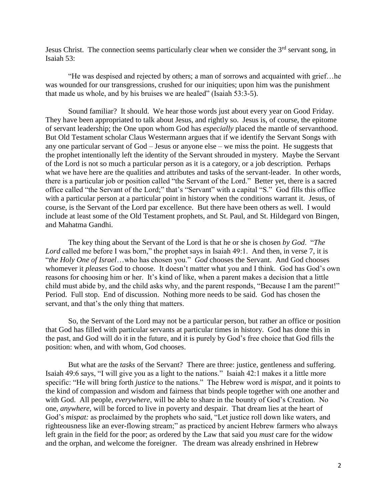Jesus Christ. The connection seems particularly clear when we consider the  $3<sup>rd</sup>$  servant song, in Isaiah 53:

"He was despised and rejected by others; a man of sorrows and acquainted with grief…he was wounded for our transgressions, crushed for our iniquities; upon him was the punishment that made us whole, and by his bruises we are healed" (Isaiah 53:3-5).

Sound familiar? It should. We hear those words just about every year on Good Friday. They have been appropriated to talk about Jesus, and rightly so. Jesus is, of course, the epitome of servant leadership; the One upon whom God has *especially* placed the mantle of servanthood. But Old Testament scholar Claus Westermann argues that if we identify the Servant Songs with any one particular servant of God – Jesus or anyone else – we miss the point. He suggests that the prophet intentionally left the identity of the Servant shrouded in mystery. Maybe the Servant of the Lord is not so much a particular person as it is a category, or a job description. Perhaps what we have here are the qualities and attributes and tasks of the servant-leader. In other words, there is a particular job or position called "the Servant of the Lord." Better yet, there is a sacred office called "the Servant of the Lord;" that's "Servant" with a capital "S." God fills this office with a particular person at a particular point in history when the conditions warrant it. Jesus, of course, is the Servant of the Lord par excellence. But there have been others as well. I would include at least some of the Old Testament prophets, and St. Paul, and St. Hildegard von Bingen, and Mahatma Gandhi.

The key thing about the Servant of the Lord is that he or she is chosen *by God*. "*The Lord* called me before I was born," the prophet says in Isaiah 49:1. And then, in verse 7, it is "*the Holy One of Israel*…who has chosen you." *God* chooses the Servant. And God chooses whomever it *pleases* God to choose. It doesn't matter what you and I think. God has God's own reasons for choosing him or her. It's kind of like, when a parent makes a decision that a little child must abide by, and the child asks why, and the parent responds, "Because I am the parent!" Period. Full stop. End of discussion. Nothing more needs to be said. God has chosen the servant, and that's the only thing that matters.

So, the Servant of the Lord may not be a particular person, but rather an office or position that God has filled with particular servants at particular times in history. God has done this in the past, and God will do it in the future, and it is purely by God's free choice that God fills the position: when, and with whom, God chooses.

But what are the *tasks* of the Servant? There are three: justice, gentleness and suffering. Isaiah 49:6 says, "I will give you as a light to the nations." Isaiah 42:1 makes it a little more specific: "He will bring forth *justice* to the nations." The Hebrew word is *mispat,* and it points to the kind of compassion and wisdom and fairness that binds people together with one another and with God. All people, *everywhere*, will be able to share in the bounty of God's Creation. No one, *anywhere*, will be forced to live in poverty and despair. That dream lies at the heart of God's *mispat:* as proclaimed by the prophets who said, "Let justice roll down like waters, and righteousness like an ever-flowing stream;" as practiced by ancient Hebrew farmers who always left grain in the field for the poor; as ordered by the Law that said you *must* care for the widow and the orphan, and welcome the foreigner. The dream was already enshrined in Hebrew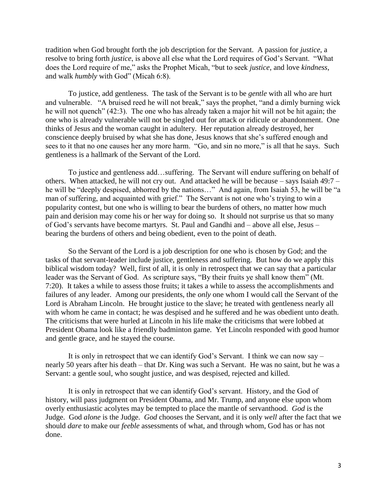tradition when God brought forth the job description for the Servant. A passion for *justice,* a resolve to bring forth *justice*, is above all else what the Lord requires of God's Servant. "What does the Lord require of me," asks the Prophet Micah, "but to seek *justice*, and love *kindness*, and walk *humbly* with God" (Micah 6:8).

To justice, add gentleness. The task of the Servant is to be *gentle* with all who are hurt and vulnerable. "A bruised reed he will not break," says the prophet, "and a dimly burning wick he will not quench" (42:3). The one who has already taken a major hit will not be hit again; the one who is already vulnerable will not be singled out for attack or ridicule or abandonment. One thinks of Jesus and the woman caught in adultery. Her reputation already destroyed, her conscience deeply bruised by what she has done, Jesus knows that she's suffered enough and sees to it that no one causes her any more harm. "Go, and sin no more," is all that he says. Such gentleness is a hallmark of the Servant of the Lord.

To justice and gentleness add…suffering. The Servant will endure suffering on behalf of others. When attacked, he will not cry out. And attacked he will be because – says Isaiah 49:7 – he will be "deeply despised, abhorred by the nations…" And again, from Isaiah 53, he will be "a man of suffering, and acquainted with grief." The Servant is not one who's trying to win a popularity contest, but one who is willing to bear the burdens of others, no matter how much pain and derision may come his or her way for doing so. It should not surprise us that so many of God's servants have become martyrs. St. Paul and Gandhi and – above all else, Jesus – bearing the burdens of others and being obedient, even to the point of death.

So the Servant of the Lord is a job description for one who is chosen by God; and the tasks of that servant-leader include justice, gentleness and suffering. But how do we apply this biblical wisdom today? Well, first of all, it is only in retrospect that we can say that a particular leader was the Servant of God. As scripture says, "By their fruits ye shall know them" (Mt. 7:20). It takes a while to assess those fruits; it takes a while to assess the accomplishments and failures of any leader. Among our presidents, the *only* one whom I would call the Servant of the Lord is Abraham Lincoln. He brought justice to the slave; he treated with gentleness nearly all with whom he came in contact; he was despised and he suffered and he was obedient unto death. The criticisms that were hurled at Lincoln in his life make the criticisms that were lobbed at President Obama look like a friendly badminton game. Yet Lincoln responded with good humor and gentle grace, and he stayed the course.

It is only in retrospect that we can identify God's Servant. I think we can now say – nearly 50 years after his death – that Dr. King was such a Servant. He was no saint, but he was a Servant: a gentle soul, who sought justice, and was despised, rejected and killed.

It is only in retrospect that we can identify God's servant. History, and the God of history, will pass judgment on President Obama, and Mr. Trump, and anyone else upon whom overly enthusiastic acolytes may be tempted to place the mantle of servanthood. *God* is the Judge. God *alone* is the Judge. *God* chooses the Servant, and it is only *well* after the fact that we should *dare* to make our *feeble* assessments of what, and through whom, God has or has not done.